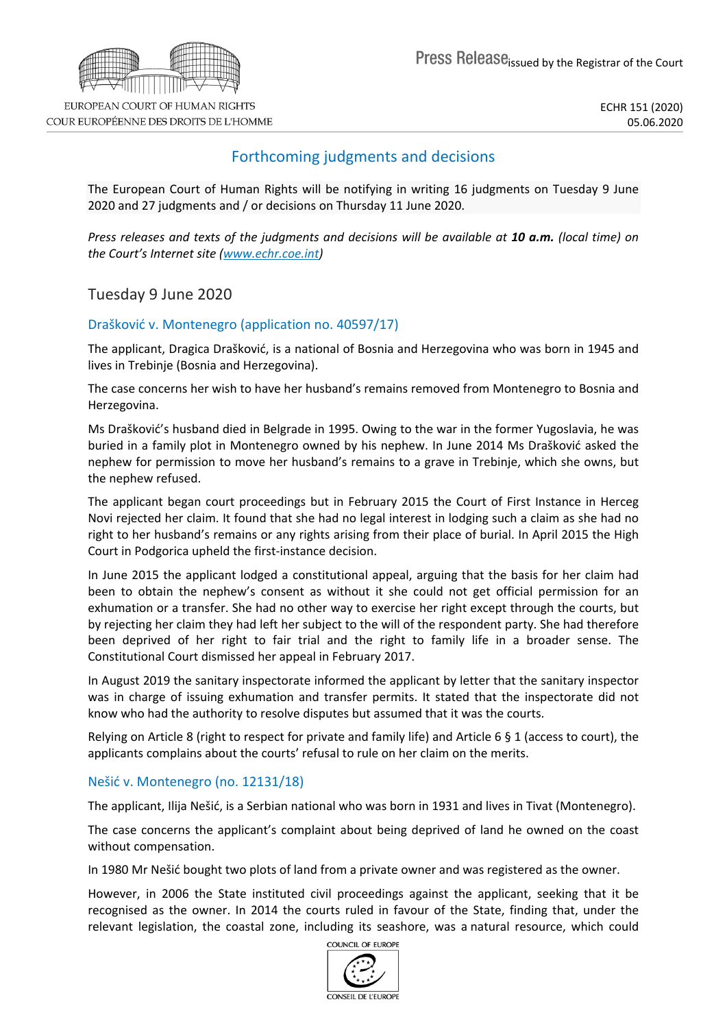

ECHR 151 (2020) 05.06.2020

# Forthcoming judgments and decisions

The European Court of Human Rights will be notifying in writing 16 judgments on Tuesday 9 June 2020 and 27 judgments and / or decisions on Thursday 11 June 2020.

Press releases and texts of the judgments and decisions will be available at 10 a.m. (local time) on *the Court's Internet site ([www.echr.coe.int](http://www.echr.coe.int/))*

Tuesday 9 June 2020

## Drašković v. Montenegro (application no. 40597/17)

The applicant, Dragica Drašković, is a national of Bosnia and Herzegovina who was born in 1945 and lives in Trebinje (Bosnia and Herzegovina).

The case concerns her wish to have her husband's remains removed from Montenegro to Bosnia and Herzegovina.

Ms Drašković's husband died in Belgrade in 1995. Owing to the war in the former Yugoslavia, he was buried in a family plot in Montenegro owned by his nephew. In June 2014 Ms Drašković asked the nephew for permission to move her husband's remains to a grave in Trebinje, which she owns, but the nephew refused.

The applicant began court proceedings but in February 2015 the Court of First Instance in Herceg Novi rejected her claim. It found that she had no legal interest in lodging such a claim as she had no right to her husband's remains or any rights arising from their place of burial. In April 2015 the High Court in Podgorica upheld the first-instance decision.

In June 2015 the applicant lodged a constitutional appeal, arguing that the basis for her claim had been to obtain the nephew's consent as without it she could not get official permission for an exhumation or a transfer. She had no other way to exercise her right except through the courts, but by rejecting her claim they had left her subject to the will of the respondent party. She had therefore been deprived of her right to fair trial and the right to family life in a broader sense. The Constitutional Court dismissed her appeal in February 2017.

In August 2019 the sanitary inspectorate informed the applicant by letter that the sanitary inspector was in charge of issuing exhumation and transfer permits. It stated that the inspectorate did not know who had the authority to resolve disputes but assumed that it was the courts.

Relying on Article 8 (right to respect for private and family life) and Article 6 § 1 (access to court), the applicants complains about the courts' refusal to rule on her claim on the merits.

### Nešić v. Montenegro (no. 12131/18)

The applicant, Ilija Nešić, is a Serbian national who was born in 1931 and lives in Tivat (Montenegro).

The case concerns the applicant's complaint about being deprived of land he owned on the coast without compensation.

In 1980 Mr Nešić bought two plots of land from a private owner and was registered as the owner.

However, in 2006 the State instituted civil proceedings against the applicant, seeking that it be recognised as the owner. In 2014 the courts ruled in favour of the State, finding that, under the relevant legislation, the coastal zone, including its seashore, was a natural resource, which could

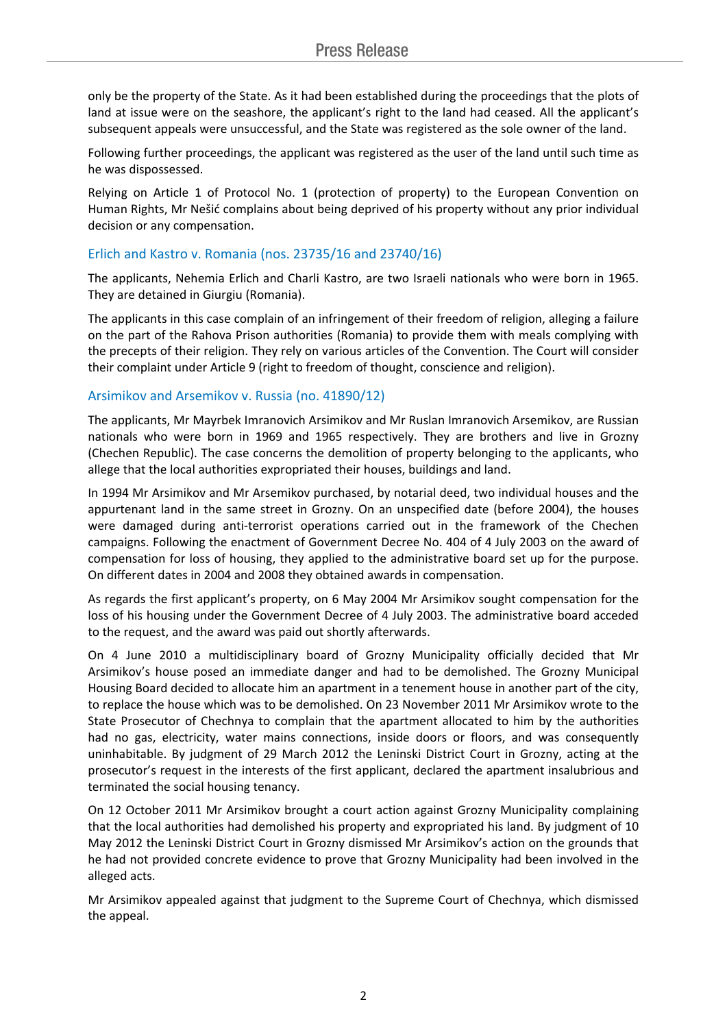only be the property of the State. As it had been established during the proceedings that the plots of land at issue were on the seashore, the applicant's right to the land had ceased. All the applicant's subsequent appeals were unsuccessful, and the State was registered as the sole owner of the land.

Following further proceedings, the applicant was registered as the user of the land until such time as he was dispossessed.

Relying on Article 1 of Protocol No. 1 (protection of property) to the European Convention on Human Rights, Mr Nešić complains about being deprived of his property without any prior individual decision or any compensation.

### Erlich and Kastro v. Romania (nos. 23735/16 and 23740/16)

The applicants, Nehemia Erlich and Charli Kastro, are two Israeli nationals who were born in 1965. They are detained in Giurgiu (Romania).

The applicants in this case complain of an infringement of their freedom of religion, alleging a failure on the part of the Rahova Prison authorities (Romania) to provide them with meals complying with the precepts of their religion. They rely on various articles of the Convention. The Court will consider their complaint under Article 9 (right to freedom of thought, conscience and religion).

### Arsimikov and Arsemikov v. Russia (no. 41890/12)

The applicants, Mr Mayrbek Imranovich Arsimikov and Mr Ruslan Imranovich Arsemikov, are Russian nationals who were born in 1969 and 1965 respectively. They are brothers and live in Grozny (Chechen Republic). The case concerns the demolition of property belonging to the applicants, who allege that the local authorities expropriated their houses, buildings and land.

In 1994 Mr Arsimikov and Mr Arsemikov purchased, by notarial deed, two individual houses and the appurtenant land in the same street in Grozny. On an unspecified date (before 2004), the houses were damaged during anti-terrorist operations carried out in the framework of the Chechen campaigns. Following the enactment of Government Decree No. 404 of 4 July 2003 on the award of compensation for loss of housing, they applied to the administrative board set up for the purpose. On different dates in 2004 and 2008 they obtained awards in compensation.

As regards the first applicant's property, on 6 May 2004 Mr Arsimikov sought compensation for the loss of his housing under the Government Decree of 4 July 2003. The administrative board acceded to the request, and the award was paid out shortly afterwards.

On 4 June 2010 a multidisciplinary board of Grozny Municipality officially decided that Mr Arsimikov's house posed an immediate danger and had to be demolished. The Grozny Municipal Housing Board decided to allocate him an apartment in a tenement house in another part of the city, to replace the house which was to be demolished. On 23 November 2011 Mr Arsimikov wrote to the State Prosecutor of Chechnya to complain that the apartment allocated to him by the authorities had no gas, electricity, water mains connections, inside doors or floors, and was consequently uninhabitable. By judgment of 29 March 2012 the Leninski District Court in Grozny, acting at the prosecutor's request in the interests of the first applicant, declared the apartment insalubrious and terminated the social housing tenancy.

On 12 October 2011 Mr Arsimikov brought a court action against Grozny Municipality complaining that the local authorities had demolished his property and expropriated his land. By judgment of 10 May 2012 the Leninski District Court in Grozny dismissed Mr Arsimikov's action on the grounds that he had not provided concrete evidence to prove that Grozny Municipality had been involved in the alleged acts.

Mr Arsimikov appealed against that judgment to the Supreme Court of Chechnya, which dismissed the appeal.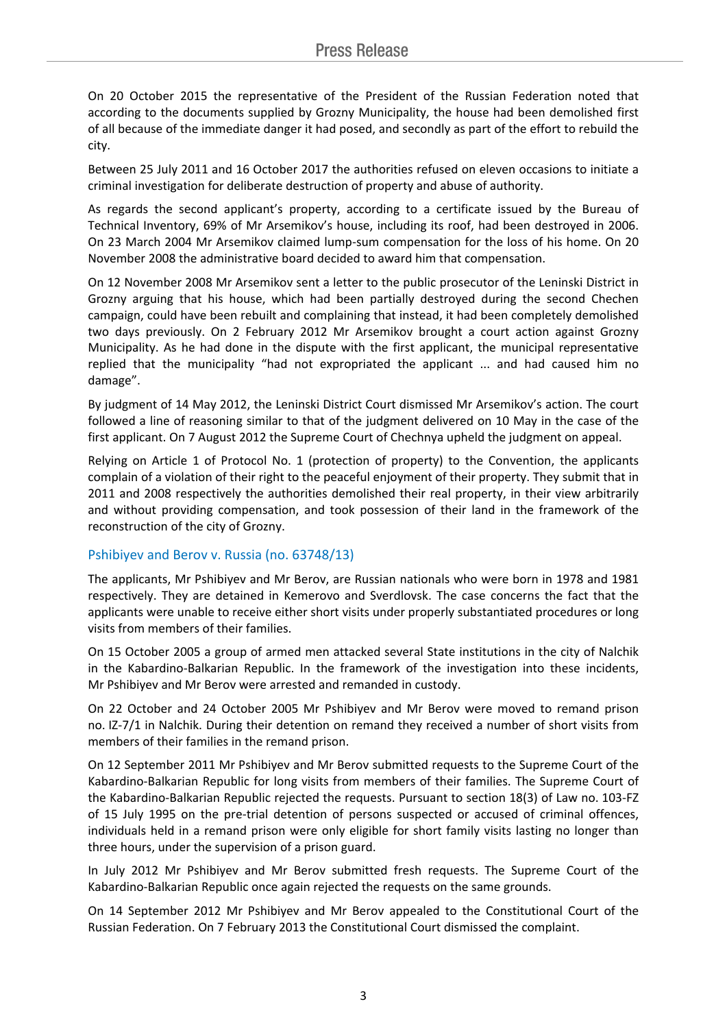On 20 October 2015 the representative of the President of the Russian Federation noted that according to the documents supplied by Grozny Municipality, the house had been demolished first of all because of the immediate danger it had posed, and secondly as part of the effort to rebuild the city.

Between 25 July 2011 and 16 October 2017 the authorities refused on eleven occasions to initiate a criminal investigation for deliberate destruction of property and abuse of authority.

As regards the second applicant's property, according to a certificate issued by the Bureau of Technical Inventory, 69% of Mr Arsemikov's house, including its roof, had been destroyed in 2006. On 23 March 2004 Mr Arsemikov claimed lump-sum compensation for the loss of his home. On 20 November 2008 the administrative board decided to award him that compensation.

On 12 November 2008 Mr Arsemikov sent a letter to the public prosecutor of the Leninski District in Grozny arguing that his house, which had been partially destroyed during the second Chechen campaign, could have been rebuilt and complaining that instead, it had been completely demolished two days previously. On 2 February 2012 Mr Arsemikov brought a court action against Grozny Municipality. As he had done in the dispute with the first applicant, the municipal representative replied that the municipality "had not expropriated the applicant ... and had caused him no damage".

By judgment of 14 May 2012, the Leninski District Court dismissed Mr Arsemikov's action. The court followed a line of reasoning similar to that of the judgment delivered on 10 May in the case of the first applicant. On 7 August 2012 the Supreme Court of Chechnya upheld the judgment on appeal.

Relying on Article 1 of Protocol No. 1 (protection of property) to the Convention, the applicants complain of a violation of their right to the peaceful enjoyment of their property. They submit that in 2011 and 2008 respectively the authorities demolished their real property, in their view arbitrarily and without providing compensation, and took possession of their land in the framework of the reconstruction of the city of Grozny.

### Pshibiyev and Berov v. Russia (no. 63748/13)

The applicants, Mr Pshibiyev and Mr Berov, are Russian nationals who were born in 1978 and 1981 respectively. They are detained in Kemerovo and Sverdlovsk. The case concerns the fact that the applicants were unable to receive either short visits under properly substantiated procedures or long visits from members of their families.

On 15 October 2005 a group of armed men attacked several State institutions in the city of Nalchik in the Kabardino-Balkarian Republic. In the framework of the investigation into these incidents, Mr Pshibiyev and Mr Berov were arrested and remanded in custody.

On 22 October and 24 October 2005 Mr Pshibiyev and Mr Berov were moved to remand prison no. IZ-7/1 in Nalchik. During their detention on remand they received a number of short visits from members of their families in the remand prison.

On 12 September 2011 Mr Pshibiyev and Mr Berov submitted requests to the Supreme Court of the Kabardino-Balkarian Republic for long visits from members of their families. The Supreme Court of the Kabardino-Balkarian Republic rejected the requests. Pursuant to section 18(3) of Law no. 103-FZ of 15 July 1995 on the pre-trial detention of persons suspected or accused of criminal offences, individuals held in a remand prison were only eligible for short family visits lasting no longer than three hours, under the supervision of a prison guard.

In July 2012 Mr Pshibiyev and Mr Berov submitted fresh requests. The Supreme Court of the Kabardino-Balkarian Republic once again rejected the requests on the same grounds.

On 14 September 2012 Mr Pshibiyev and Mr Berov appealed to the Constitutional Court of the Russian Federation. On 7 February 2013 the Constitutional Court dismissed the complaint.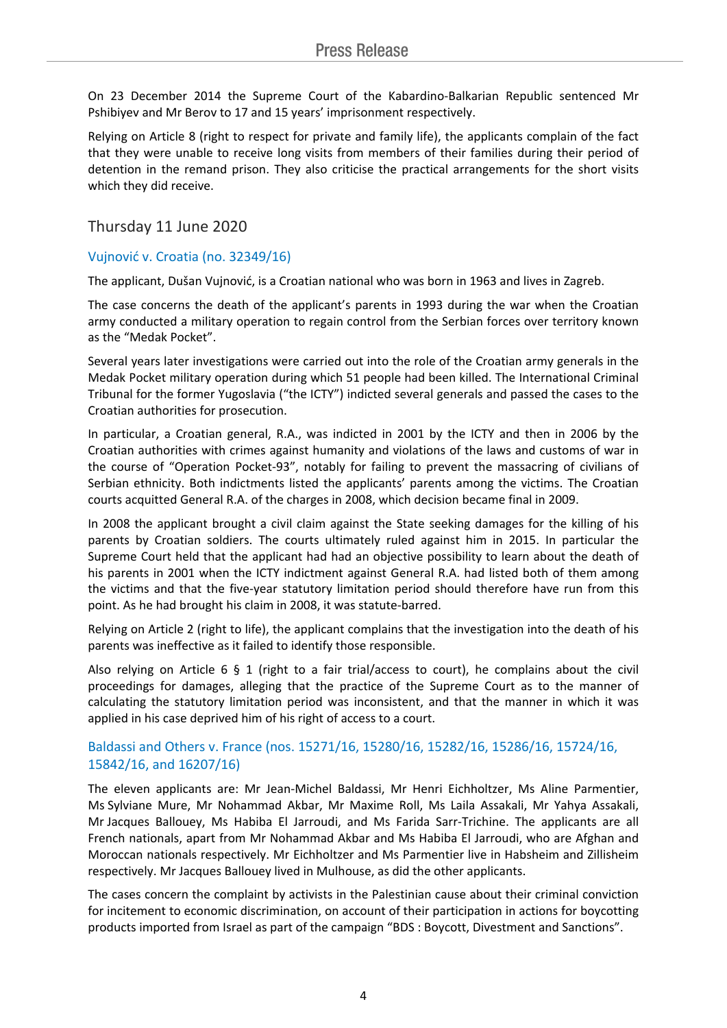On 23 December 2014 the Supreme Court of the Kabardino-Balkarian Republic sentenced Mr Pshibiyev and Mr Berov to 17 and 15 years' imprisonment respectively.

Relying on Article 8 (right to respect for private and family life), the applicants complain of the fact that they were unable to receive long visits from members of their families during their period of detention in the remand prison. They also criticise the practical arrangements for the short visits which they did receive.

# Thursday 11 June 2020

## Vujnović v. Croatia (no. 32349/16)

The applicant, Dušan Vujnović, is a Croatian national who was born in 1963 and lives in Zagreb.

The case concerns the death of the applicant's parents in 1993 during the war when the Croatian army conducted a military operation to regain control from the Serbian forces over territory known as the "Medak Pocket".

Several years later investigations were carried out into the role of the Croatian army generals in the Medak Pocket military operation during which 51 people had been killed. The International Criminal Tribunal for the former Yugoslavia ("the ICTY") indicted several generals and passed the cases to the Croatian authorities for prosecution.

In particular, a Croatian general, R.A., was indicted in 2001 by the ICTY and then in 2006 by the Croatian authorities with crimes against humanity and violations of the laws and customs of war in the course of "Operation Pocket-93", notably for failing to prevent the massacring of civilians of Serbian ethnicity. Both indictments listed the applicants' parents among the victims. The Croatian courts acquitted General R.A. of the charges in 2008, which decision became final in 2009.

In 2008 the applicant brought a civil claim against the State seeking damages for the killing of his parents by Croatian soldiers. The courts ultimately ruled against him in 2015. In particular the Supreme Court held that the applicant had had an objective possibility to learn about the death of his parents in 2001 when the ICTY indictment against General R.A. had listed both of them among the victims and that the five-year statutory limitation period should therefore have run from this point. As he had brought his claim in 2008, it was statute-barred.

Relying on Article 2 (right to life), the applicant complains that the investigation into the death of his parents was ineffective as it failed to identify those responsible.

Also relying on Article 6 § 1 (right to a fair trial/access to court), he complains about the civil proceedings for damages, alleging that the practice of the Supreme Court as to the manner of calculating the statutory limitation period was inconsistent, and that the manner in which it was applied in his case deprived him of his right of access to a court.

## Baldassi and Others v. France (nos. 15271/16, 15280/16, 15282/16, 15286/16, 15724/16, 15842/16, and 16207/16)

The eleven applicants are: Mr Jean-Michel Baldassi, Mr Henri Eichholtzer, Ms Aline Parmentier, Ms Sylviane Mure, Mr Nohammad Akbar, Mr Maxime Roll, Ms Laila Assakali, Mr Yahya Assakali, Mr Jacques Ballouey, Ms Habiba El Jarroudi, and Ms Farida Sarr-Trichine. The applicants are all French nationals, apart from Mr Nohammad Akbar and Ms Habiba El Jarroudi, who are Afghan and Moroccan nationals respectively. Mr Eichholtzer and Ms Parmentier live in Habsheim and Zillisheim respectively. Mr Jacques Ballouey lived in Mulhouse, as did the other applicants.

The cases concern the complaint by activists in the Palestinian cause about their criminal conviction for incitement to economic discrimination, on account of their participation in actions for boycotting products imported from Israel as part of the campaign "BDS : Boycott, Divestment and Sanctions".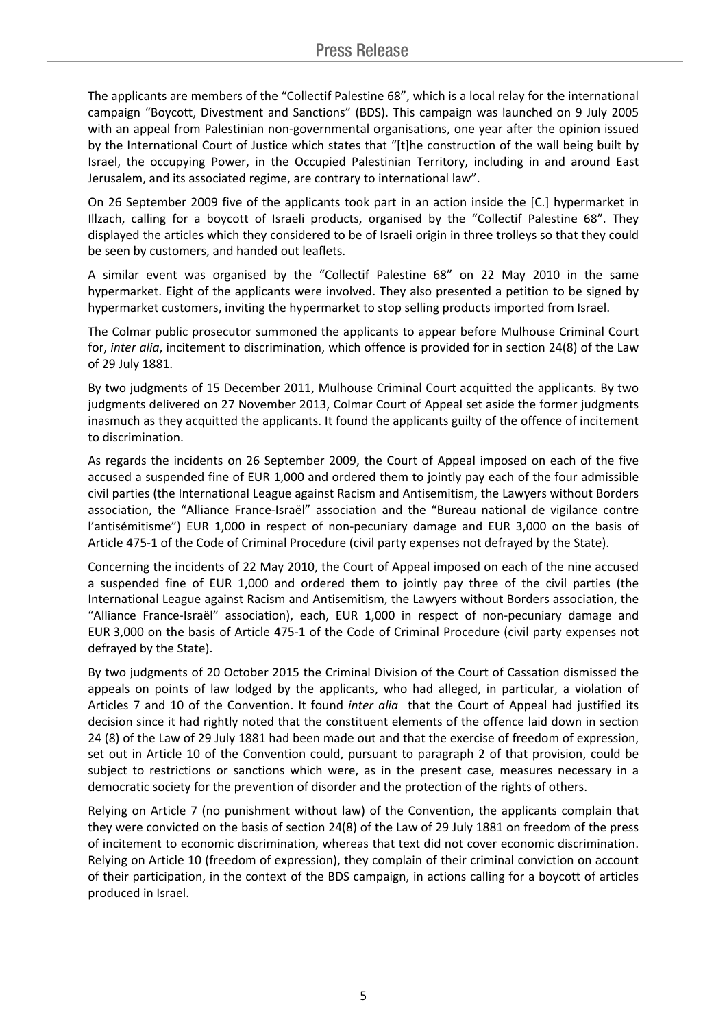The applicants are members of the "Collectif Palestine 68", which is a local relay for the international campaign "Boycott, Divestment and Sanctions" (BDS). This campaign was launched on 9 July 2005 with an appeal from Palestinian non-governmental organisations, one year after the opinion issued by the International Court of Justice which states that "[t]he construction of the wall being built by Israel, the occupying Power, in the Occupied Palestinian Territory, including in and around East Jerusalem, and its associated regime, are contrary to international law".

On 26 September 2009 five of the applicants took part in an action inside the [C.] hypermarket in Illzach, calling for a boycott of Israeli products, organised by the "Collectif Palestine 68". They displayed the articles which they considered to be of Israeli origin in three trolleys so that they could be seen by customers, and handed out leaflets.

A similar event was organised by the "Collectif Palestine 68" on 22 May 2010 in the same hypermarket. Eight of the applicants were involved. They also presented a petition to be signed by hypermarket customers, inviting the hypermarket to stop selling products imported from Israel.

The Colmar public prosecutor summoned the applicants to appear before Mulhouse Criminal Court for, *inter alia*, incitement to discrimination, which offence is provided for in section 24(8) of the Law of 29 July 1881.

By two judgments of 15 December 2011, Mulhouse Criminal Court acquitted the applicants. By two judgments delivered on 27 November 2013, Colmar Court of Appeal set aside the former judgments inasmuch as they acquitted the applicants. It found the applicants guilty of the offence of incitement to discrimination.

As regards the incidents on 26 September 2009, the Court of Appeal imposed on each of the five accused a suspended fine of EUR 1,000 and ordered them to jointly pay each of the four admissible civil parties (the International League against Racism and Antisemitism, the Lawyers without Borders association, the "Alliance France-Israël" association and the "Bureau national de vigilance contre l'antisémitisme") EUR 1,000 in respect of non-pecuniary damage and EUR 3,000 on the basis of Article 475-1 of the Code of Criminal Procedure (civil party expenses not defrayed by the State).

Concerning the incidents of 22 May 2010, the Court of Appeal imposed on each of the nine accused a suspended fine of EUR 1,000 and ordered them to jointly pay three of the civil parties (the International League against Racism and Antisemitism, the Lawyers without Borders association, the "Alliance France-Israël" association), each, EUR 1,000 in respect of non-pecuniary damage and EUR 3,000 on the basis of Article 475-1 of the Code of Criminal Procedure (civil party expenses not defrayed by the State).

By two judgments of 20 October 2015 the Criminal Division of the Court of Cassation dismissed the appeals on points of law lodged by the applicants, who had alleged, in particular, a violation of Articles 7 and 10 of the Convention. It found *inter alia* that the Court of Appeal had justified its decision since it had rightly noted that the constituent elements of the offence laid down in section 24 (8) of the Law of 29 July 1881 had been made out and that the exercise of freedom of expression, set out in Article 10 of the Convention could, pursuant to paragraph 2 of that provision, could be subject to restrictions or sanctions which were, as in the present case, measures necessary in a democratic society for the prevention of disorder and the protection of the rights of others.

Relying on Article 7 (no punishment without law) of the Convention, the applicants complain that they were convicted on the basis of section 24(8) of the Law of 29 July 1881 on freedom of the press of incitement to economic discrimination, whereas that text did not cover economic discrimination. Relying on Article 10 (freedom of expression), they complain of their criminal conviction on account of their participation, in the context of the BDS campaign, in actions calling for a boycott of articles produced in Israel.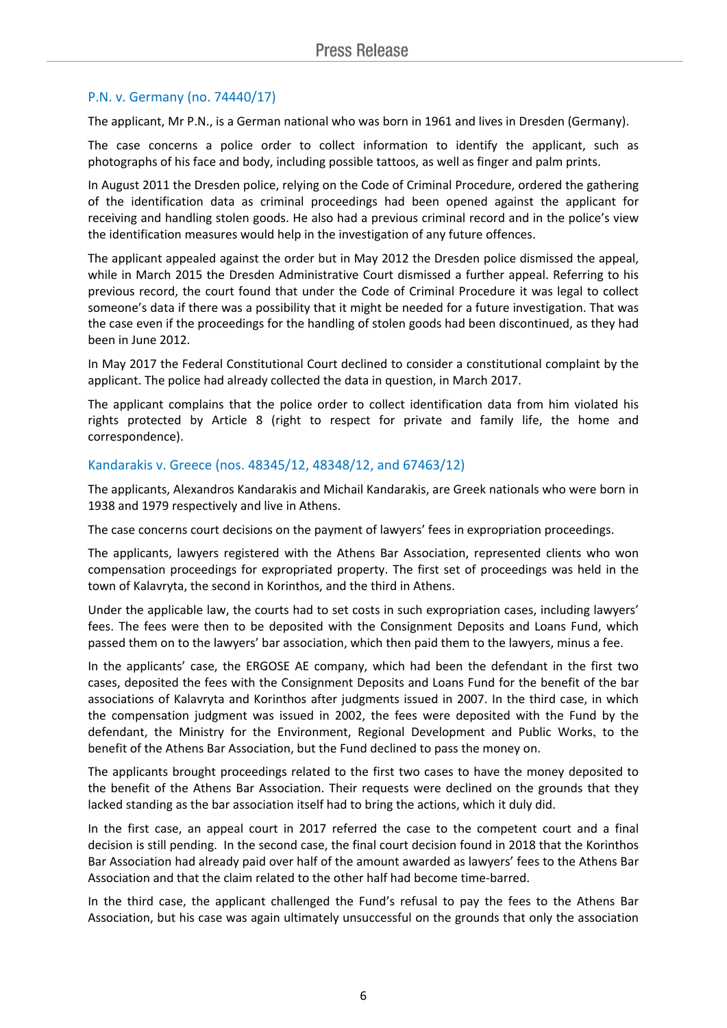### P.N. v. Germany (no. 74440/17)

The applicant, Mr P.N., is a German national who was born in 1961 and lives in Dresden (Germany).

The case concerns a police order to collect information to identify the applicant, such as photographs of his face and body, including possible tattoos, as well as finger and palm prints.

In August 2011 the Dresden police, relying on the Code of Criminal Procedure, ordered the gathering of the identification data as criminal proceedings had been opened against the applicant for receiving and handling stolen goods. He also had a previous criminal record and in the police's view the identification measures would help in the investigation of any future offences.

The applicant appealed against the order but in May 2012 the Dresden police dismissed the appeal, while in March 2015 the Dresden Administrative Court dismissed a further appeal. Referring to his previous record, the court found that under the Code of Criminal Procedure it was legal to collect someone's data if there was a possibility that it might be needed for a future investigation. That was the case even if the proceedings for the handling of stolen goods had been discontinued, as they had been in June 2012.

In May 2017 the Federal Constitutional Court declined to consider a constitutional complaint by the applicant. The police had already collected the data in question, in March 2017.

The applicant complains that the police order to collect identification data from him violated his rights protected by Article 8 (right to respect for private and family life, the home and correspondence).

#### Kandarakis v. Greece (nos. 48345/12, 48348/12, and 67463/12)

The applicants, Alexandros Kandarakis and Michail Kandarakis, are Greek nationals who were born in 1938 and 1979 respectively and live in Athens.

The case concerns court decisions on the payment of lawyers' fees in expropriation proceedings.

The applicants, lawyers registered with the Athens Bar Association, represented clients who won compensation proceedings for expropriated property. The first set of proceedings was held in the town of Kalavryta, the second in Korinthos, and the third in Athens.

Under the applicable law, the courts had to set costs in such expropriation cases, including lawyers' fees. The fees were then to be deposited with the Consignment Deposits and Loans Fund, which passed them on to the lawyers' bar association, which then paid them to the lawyers, minus a fee.

In the applicants' case, the ERGOSE AE company, which had been the defendant in the first two cases, deposited the fees with the Consignment Deposits and Loans Fund for the benefit of the bar associations of Kalavryta and Korinthos after judgments issued in 2007. In the third case, in which the compensation judgment was issued in 2002, the fees were deposited with the Fund by the defendant, the Ministry for the Environment, Regional Development and Public Works, to the benefit of the Athens Bar Association, but the Fund declined to pass the money on.

The applicants brought proceedings related to the first two cases to have the money deposited to the benefit of the Athens Bar Association. Their requests were declined on the grounds that they lacked standing as the bar association itself had to bring the actions, which it duly did.

In the first case, an appeal court in 2017 referred the case to the competent court and a final decision is still pending. In the second case, the final court decision found in 2018 that the Korinthos Bar Association had already paid over half of the amount awarded as lawyers' fees to the Athens Bar Association and that the claim related to the other half had become time-barred.

In the third case, the applicant challenged the Fund's refusal to pay the fees to the Athens Bar Association, but his case was again ultimately unsuccessful on the grounds that only the association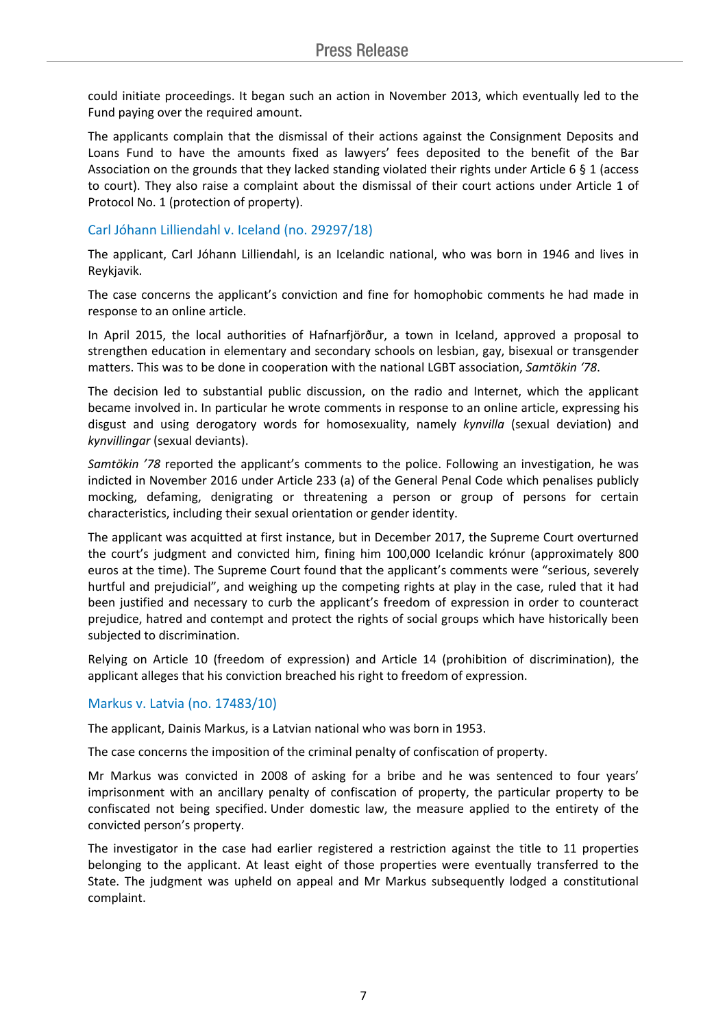could initiate proceedings. It began such an action in November 2013, which eventually led to the Fund paying over the required amount.

The applicants complain that the dismissal of their actions against the Consignment Deposits and Loans Fund to have the amounts fixed as lawyers' fees deposited to the benefit of the Bar Association on the grounds that they lacked standing violated their rights under Article 6 § 1 (access to court). They also raise a complaint about the dismissal of their court actions under Article 1 of Protocol No. 1 (protection of property).

### Carl Jóhann Lilliendahl v. Iceland (no. 29297/18)

The applicant, Carl Jóhann Lilliendahl, is an Icelandic national, who was born in 1946 and lives in Reykjavik.

The case concerns the applicant's conviction and fine for homophobic comments he had made in response to an online article.

In April 2015, the local authorities of Hafnarfjörður, a town in Iceland, approved a proposal to strengthen education in elementary and secondary schools on lesbian, gay, bisexual or transgender matters. This was to be done in cooperation with the national LGBT association, *Samtökin '78*.

The decision led to substantial public discussion, on the radio and Internet, which the applicant became involved in. In particular he wrote comments in response to an online article, expressing his disgust and using derogatory words for homosexuality, namely *kynvilla* (sexual deviation) and *kynvillingar* (sexual deviants).

*Samtökin '78* reported the applicant's comments to the police. Following an investigation, he was indicted in November 2016 under Article 233 (a) of the General Penal Code which penalises publicly mocking, defaming, denigrating or threatening a person or group of persons for certain characteristics, including their sexual orientation or gender identity.

The applicant was acquitted at first instance, but in December 2017, the Supreme Court overturned the court's judgment and convicted him, fining him 100,000 Icelandic krónur (approximately 800 euros at the time). The Supreme Court found that the applicant's comments were "serious, severely hurtful and prejudicial", and weighing up the competing rights at play in the case, ruled that it had been justified and necessary to curb the applicant's freedom of expression in order to counteract prejudice, hatred and contempt and protect the rights of social groups which have historically been subjected to discrimination.

Relying on Article 10 (freedom of expression) and Article 14 (prohibition of discrimination), the applicant alleges that his conviction breached his right to freedom of expression.

### Markus v. Latvia (no. 17483/10)

The applicant, Dainis Markus, is a Latvian national who was born in 1953.

The case concerns the imposition of the criminal penalty of confiscation of property.

Mr Markus was convicted in 2008 of asking for a bribe and he was sentenced to four years' imprisonment with an ancillary penalty of confiscation of property, the particular property to be confiscated not being specified. Under domestic law, the measure applied to the entirety of the convicted person's property.

The investigator in the case had earlier registered a restriction against the title to 11 properties belonging to the applicant. At least eight of those properties were eventually transferred to the State. The judgment was upheld on appeal and Mr Markus subsequently lodged a constitutional complaint.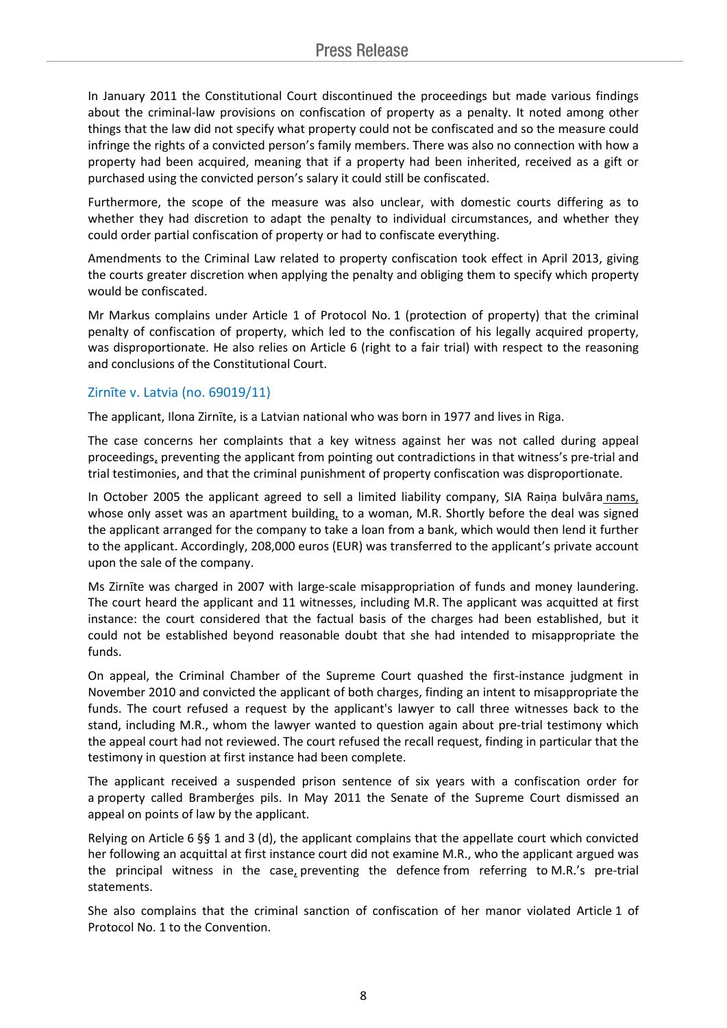In January 2011 the Constitutional Court discontinued the proceedings but made various findings about the criminal-law provisions on confiscation of property as a penalty. It noted among other things that the law did not specify what property could not be confiscated and so the measure could infringe the rights of a convicted person's family members. There was also no connection with how a property had been acquired, meaning that if a property had been inherited, received as a gift or purchased using the convicted person's salary it could still be confiscated.

Furthermore, the scope of the measure was also unclear, with domestic courts differing as to whether they had discretion to adapt the penalty to individual circumstances, and whether they could order partial confiscation of property or had to confiscate everything.

Amendments to the Criminal Law related to property confiscation took effect in April 2013, giving the courts greater discretion when applying the penalty and obliging them to specify which property would be confiscated.

Mr Markus complains under Article 1 of Protocol No. 1 (protection of property) that the criminal penalty of confiscation of property, which led to the confiscation of his legally acquired property, was disproportionate. He also relies on Article 6 (right to a fair trial) with respect to the reasoning and conclusions of the Constitutional Court.

### Zirnīte v. Latvia (no. 69019/11)

The applicant, Ilona Zirnīte, is a Latvian national who was born in 1977 and lives in Riga.

The case concerns her complaints that a key witness against her was not called during appeal proceedings, preventing the applicant from pointing out contradictions in that witness's pre-trial and trial testimonies, and that the criminal punishment of property confiscation was disproportionate.

In October 2005 the applicant agreed to sell a limited liability company, SIA Raiņa bulvāra nams, whose only asset was an apartment building, to a woman, M.R. Shortly before the deal was signed the applicant arranged for the company to take a loan from a bank, which would then lend it further to the applicant. Accordingly, 208,000 euros (EUR) was transferred to the applicant's private account upon the sale of the company.

Ms Zirnīte was charged in 2007 with large-scale misappropriation of funds and money laundering. The court heard the applicant and 11 witnesses, including M.R. The applicant was acquitted at first instance: the court considered that the factual basis of the charges had been established, but it could not be established beyond reasonable doubt that she had intended to misappropriate the funds.

On appeal, the Criminal Chamber of the Supreme Court quashed the first-instance judgment in November 2010 and convicted the applicant of both charges, finding an intent to misappropriate the funds. The court refused a request by the applicant's lawyer to call three witnesses back to the stand, including M.R., whom the lawyer wanted to question again about pre-trial testimony which the appeal court had not reviewed. The court refused the recall request, finding in particular that the testimony in question at first instance had been complete.

The applicant received a suspended prison sentence of six years with a confiscation order for a property called Bramberģes pils. In May 2011 the Senate of the Supreme Court dismissed an appeal on points of law by the applicant.

Relying on Article 6 §§ 1 and 3 (d), the applicant complains that the appellate court which convicted her following an acquittal at first instance court did not examine M.R., who the applicant argued was the principal witness in the case, preventing the defence from referring to M.R.'s pre-trial statements.

She also complains that the criminal sanction of confiscation of her manor violated Article 1 of Protocol No. 1 to the Convention.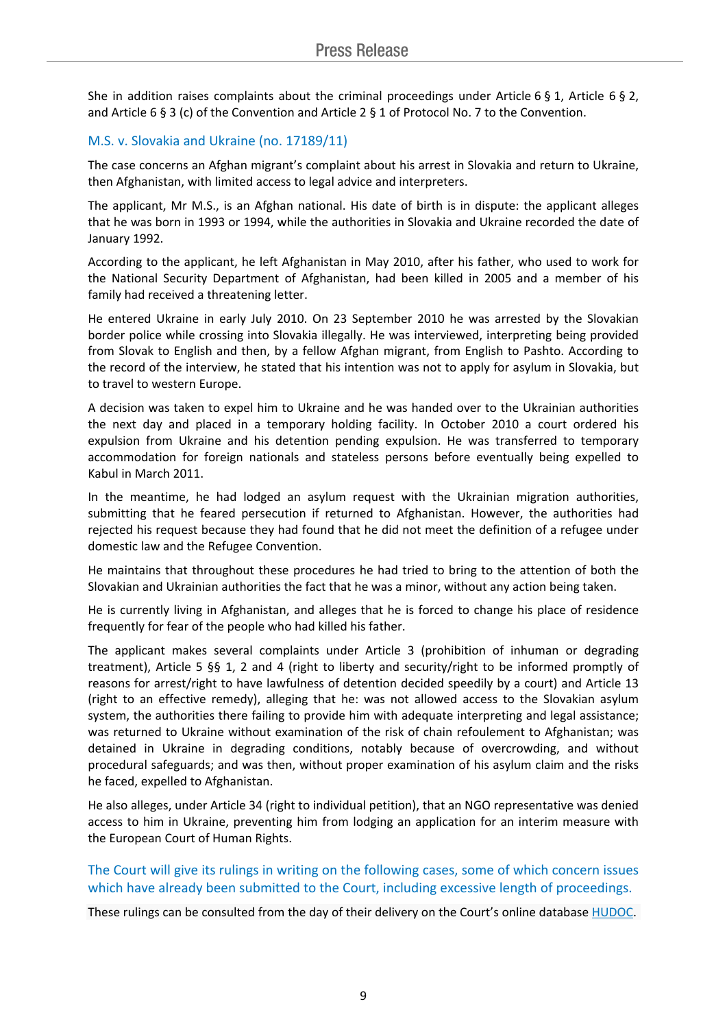She in addition raises complaints about the criminal proceedings under Article 6  $\S$  1, Article 6  $\S$  2, and Article 6 § 3 (c) of the Convention and Article 2 § 1 of Protocol No. 7 to the Convention.

## M.S. v. Slovakia and Ukraine (no. 17189/11)

The case concerns an Afghan migrant's complaint about his arrest in Slovakia and return to Ukraine, then Afghanistan, with limited access to legal advice and interpreters.

The applicant, Mr M.S., is an Afghan national. His date of birth is in dispute: the applicant alleges that he was born in 1993 or 1994, while the authorities in Slovakia and Ukraine recorded the date of January 1992.

According to the applicant, he left Afghanistan in May 2010, after his father, who used to work for the National Security Department of Afghanistan, had been killed in 2005 and a member of his family had received a threatening letter.

He entered Ukraine in early July 2010. On 23 September 2010 he was arrested by the Slovakian border police while crossing into Slovakia illegally. He was interviewed, interpreting being provided from Slovak to English and then, by a fellow Afghan migrant, from English to Pashto. According to the record of the interview, he stated that his intention was not to apply for asylum in Slovakia, but to travel to western Europe.

A decision was taken to expel him to Ukraine and he was handed over to the Ukrainian authorities the next day and placed in a temporary holding facility. In October 2010 a court ordered his expulsion from Ukraine and his detention pending expulsion. He was transferred to temporary accommodation for foreign nationals and stateless persons before eventually being expelled to Kabul in March 2011.

In the meantime, he had lodged an asylum request with the Ukrainian migration authorities, submitting that he feared persecution if returned to Afghanistan. However, the authorities had rejected his request because they had found that he did not meet the definition of a refugee under domestic law and the Refugee Convention.

He maintains that throughout these procedures he had tried to bring to the attention of both the Slovakian and Ukrainian authorities the fact that he was a minor, without any action being taken.

He is currently living in Afghanistan, and alleges that he is forced to change his place of residence frequently for fear of the people who had killed his father.

The applicant makes several complaints under Article 3 (prohibition of inhuman or degrading treatment), Article 5 §§ 1, 2 and 4 (right to liberty and security/right to be informed promptly of reasons for arrest/right to have lawfulness of detention decided speedily by a court) and Article 13 (right to an effective remedy), alleging that he: was not allowed access to the Slovakian asylum system, the authorities there failing to provide him with adequate interpreting and legal assistance; was returned to Ukraine without examination of the risk of chain refoulement to Afghanistan; was detained in Ukraine in degrading conditions, notably because of overcrowding, and without procedural safeguards; and was then, without proper examination of his asylum claim and the risks he faced, expelled to Afghanistan.

He also alleges, under Article 34 (right to individual petition), that an NGO representative was denied access to him in Ukraine, preventing him from lodging an application for an interim measure with the European Court of Human Rights.

The Court will give its rulings in writing on the following cases, some of which concern issues which have already been submitted to the Court, including excessive length of proceedings.

These rulings can be consulted from the day of their delivery on the Court's online database [HUDOC.](http://hudoc.echr.coe.int/sites/eng/Pages/search.aspx#%7B)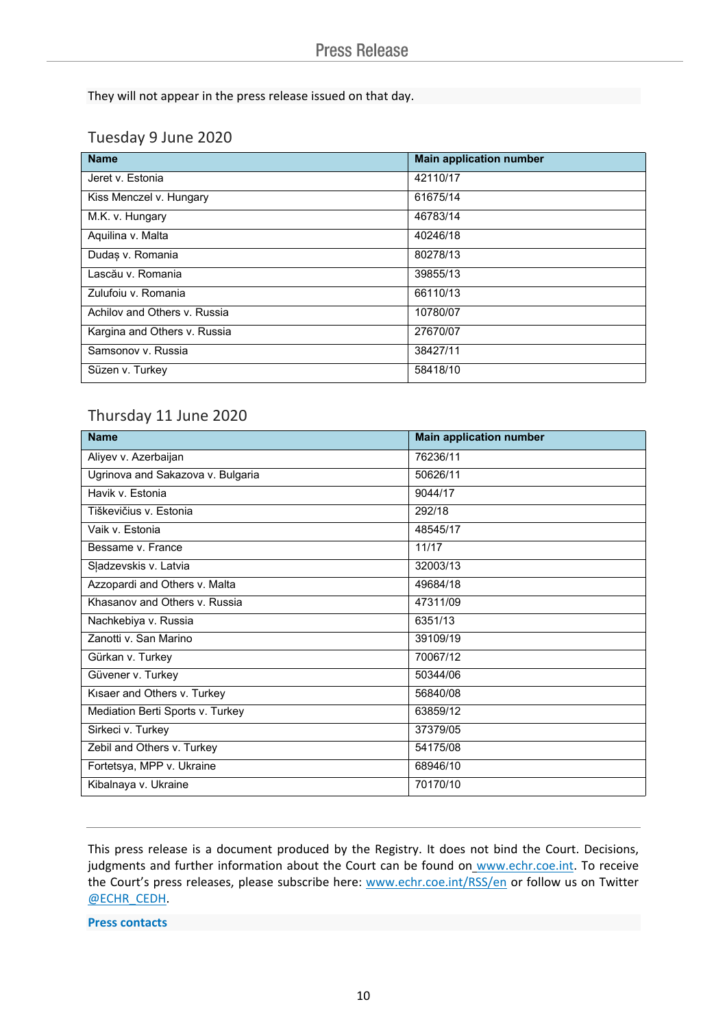They will not appear in the press release issued on that day.

# Tuesday 9 June 2020

| <b>Name</b>                  | <b>Main application number</b> |
|------------------------------|--------------------------------|
| Jeret v. Estonia             | 42110/17                       |
| Kiss Menczel v. Hungary      | 61675/14                       |
| M.K. v. Hungary              | 46783/14                       |
| Aquilina v. Malta            | 40246/18                       |
| Dudas v. Romania             | 80278/13                       |
| Lascău v. Romania            | 39855/13                       |
| Zulufoiu v. Romania          | 66110/13                       |
| Achilov and Others v. Russia | 10780/07                       |
| Kargina and Others v. Russia | 27670/07                       |
| Samsonov v. Russia           | 38427/11                       |
| Süzen v. Turkey              | 58418/10                       |

# Thursday 11 June 2020

| <b>Name</b>                       | <b>Main application number</b> |
|-----------------------------------|--------------------------------|
| Aliyev v. Azerbaijan              | 76236/11                       |
| Ugrinova and Sakazova v. Bulgaria | 50626/11                       |
| Havik v. Estonia                  | 9044/17                        |
| Tiškevičius v. Estonia            | 292/18                         |
| Vaik v. Estonia                   | 48545/17                       |
| Bessame v. France                 | 11/17                          |
| Sļadzevskis v. Latvia             | 32003/13                       |
| Azzopardi and Others v. Malta     | 49684/18                       |
| Khasanov and Others v. Russia     | 47311/09                       |
| Nachkebiya v. Russia              | 6351/13                        |
| Zanotti v. San Marino             | 39109/19                       |
| Gürkan v. Turkey                  | 70067/12                       |
| Güvener v. Turkey                 | 50344/06                       |
| Kisaer and Others v. Turkey       | 56840/08                       |
| Mediation Berti Sports v. Turkey  | 63859/12                       |
| Sirkeci v. Turkey                 | 37379/05                       |
| Zebil and Others v. Turkey        | 54175/08                       |
| Fortetsya, MPP v. Ukraine         | 68946/10                       |
| Kibalnaya v. Ukraine              | 70170/10                       |

This press release is a document produced by the Registry. It does not bind the Court. Decisions, judgments and further information about the Court can be found on [www.echr.coe.int](http://www.echr.coe.int/). To receive the Court's press releases, please subscribe here: [www.echr.coe.int/RSS/en](http://www.echr.coe.int/RSS/en) or follow us on Twitter [@ECHR\\_CEDH](https://twitter.com/ECHR_CEDH).

#### **Press contacts**